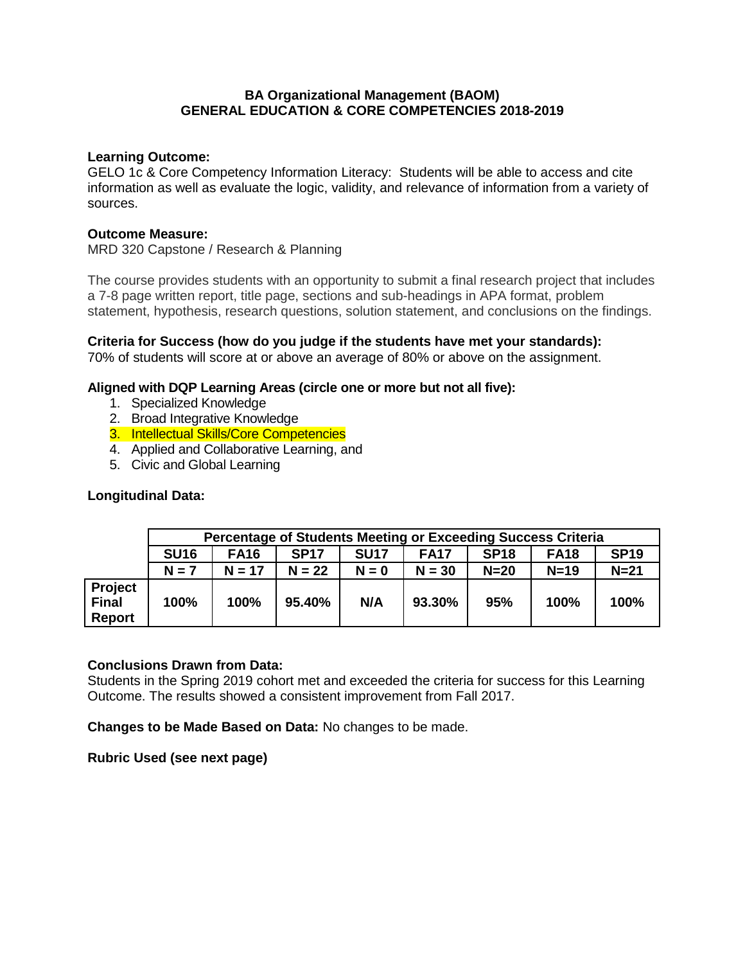### **BA Organizational Management (BAOM) GENERAL EDUCATION & CORE COMPETENCIES 2018-2019**

### **Learning Outcome:**

GELO 1c & Core Competency Information Literacy: Students will be able to access and cite information as well as evaluate the logic, validity, and relevance of information from a variety of sources.

#### **Outcome Measure:**

MRD 320 Capstone / Research & Planning

The course provides students with an opportunity to submit a final research project that includes a 7-8 page written report, title page, sections and sub-headings in APA format, problem statement, hypothesis, research questions, solution statement, and conclusions on the findings.

**Criteria for Success (how do you judge if the students have met your standards):** 70% of students will score at or above an average of 80% or above on the assignment.

# **Aligned with DQP Learning Areas (circle one or more but not all five):**

- 1. Specialized Knowledge
- 2. Broad Integrative Knowledge
- 3. Intellectual Skills/Core Competencies
- 4. Applied and Collaborative Learning, and
- 5. Civic and Global Learning

# **Longitudinal Data:**

|                                          | Percentage of Students Meeting or Exceeding Success Criteria |             |             |             |             |             |             |             |  |
|------------------------------------------|--------------------------------------------------------------|-------------|-------------|-------------|-------------|-------------|-------------|-------------|--|
|                                          | <b>SU16</b>                                                  | <b>FA16</b> | <b>SP17</b> | <b>SU17</b> | <b>FA17</b> | <b>SP18</b> | <b>FA18</b> | <b>SP19</b> |  |
|                                          | $N = 7$                                                      | $N = 17$    | $N = 22$    | $N = 0$     | $N = 30$    | $N=20$      | $N=19$      | $N=21$      |  |
| Project<br><b>Final</b><br><b>Report</b> | 100%                                                         | 100%        | 95.40%      | N/A         | 93.30%      | 95%         | 100%        | 100%        |  |

#### **Conclusions Drawn from Data:**

Students in the Spring 2019 cohort met and exceeded the criteria for success for this Learning Outcome. The results showed a consistent improvement from Fall 2017.

**Changes to be Made Based on Data:** No changes to be made.

**Rubric Used (see next page)**